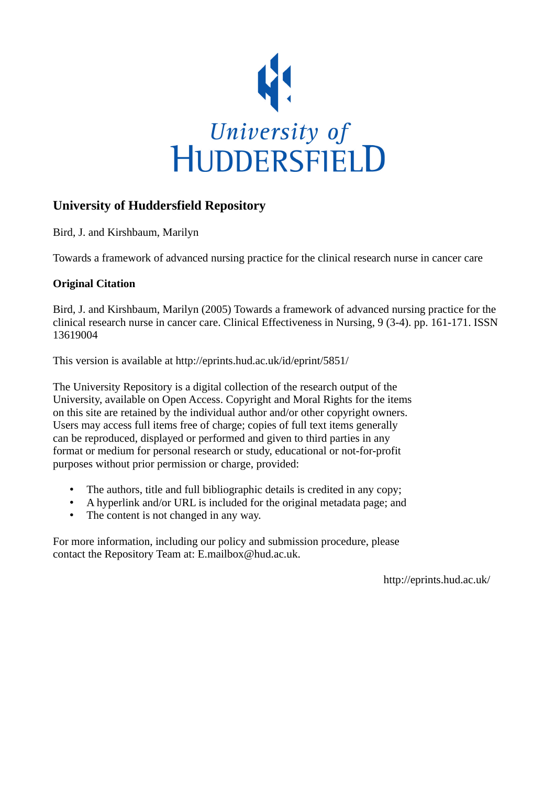

# **University of Huddersfield Repository**

Bird, J. and Kirshbaum, Marilyn

Towards a framework of advanced nursing practice for the clinical research nurse in cancer care

## **Original Citation**

Bird, J. and Kirshbaum, Marilyn (2005) Towards a framework of advanced nursing practice for the clinical research nurse in cancer care. Clinical Effectiveness in Nursing, 9 (3-4). pp. 161-171. ISSN 13619004

This version is available at http://eprints.hud.ac.uk/id/eprint/5851/

The University Repository is a digital collection of the research output of the University, available on Open Access. Copyright and Moral Rights for the items on this site are retained by the individual author and/or other copyright owners. Users may access full items free of charge; copies of full text items generally can be reproduced, displayed or performed and given to third parties in any format or medium for personal research or study, educational or not-for-profit purposes without prior permission or charge, provided:

- The authors, title and full bibliographic details is credited in any copy;
- A hyperlink and/or URL is included for the original metadata page; and
- The content is not changed in any way.

For more information, including our policy and submission procedure, please contact the Repository Team at: E.mailbox@hud.ac.uk.

http://eprints.hud.ac.uk/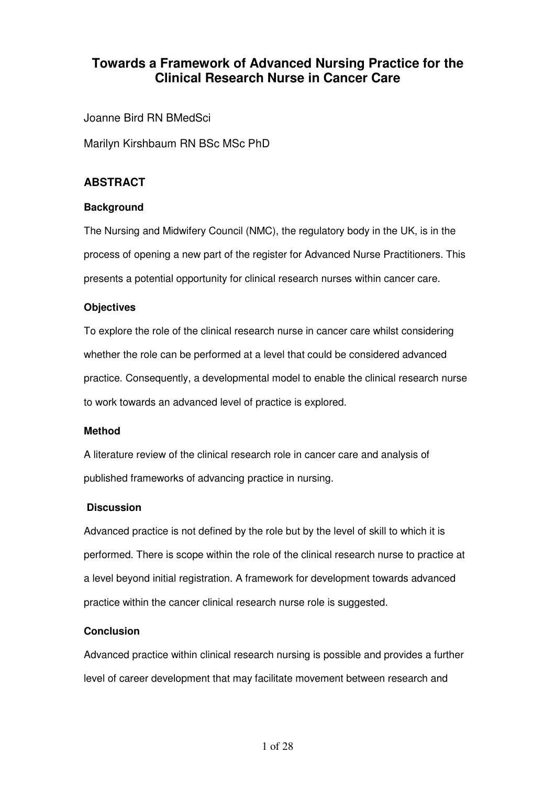# **Towards a Framework of Advanced Nursing Practice for the Clinical Research Nurse in Cancer Care**

Joanne Bird RN BMedSci

Marilyn Kirshbaum RN BSc MSc PhD

## **ABSTRACT**

## **Background**

The Nursing and Midwifery Council (NMC), the regulatory body in the UK, is in the process of opening a new part of the register for Advanced Nurse Practitioners. This presents a potential opportunity for clinical research nurses within cancer care.

## **Objectives**

To explore the role of the clinical research nurse in cancer care whilst considering whether the role can be performed at a level that could be considered advanced practice. Consequently, a developmental model to enable the clinical research nurse to work towards an advanced level of practice is explored.

## **Method**

A literature review of the clinical research role in cancer care and analysis of published frameworks of advancing practice in nursing.

## **Discussion**

Advanced practice is not defined by the role but by the level of skill to which it is performed. There is scope within the role of the clinical research nurse to practice at a level beyond initial registration. A framework for development towards advanced practice within the cancer clinical research nurse role is suggested.

## **Conclusion**

Advanced practice within clinical research nursing is possible and provides a further level of career development that may facilitate movement between research and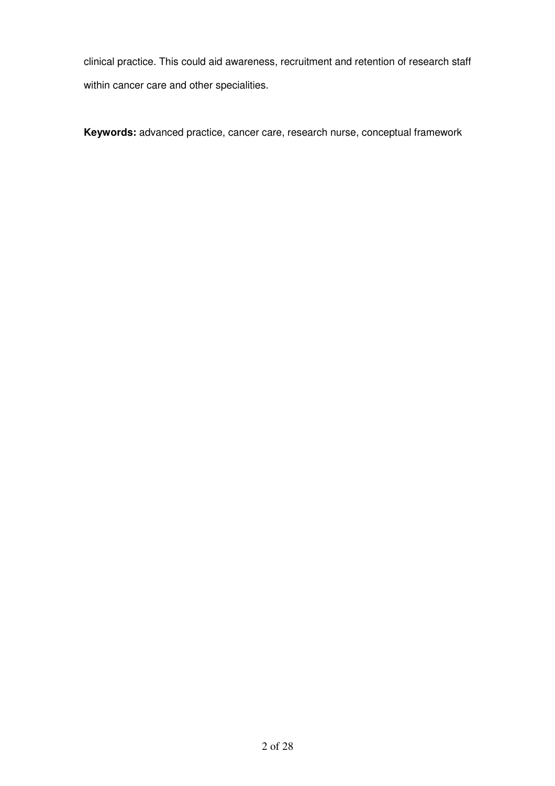clinical practice. This could aid awareness, recruitment and retention of research staff within cancer care and other specialities.

**Keywords:** advanced practice, cancer care, research nurse, conceptual framework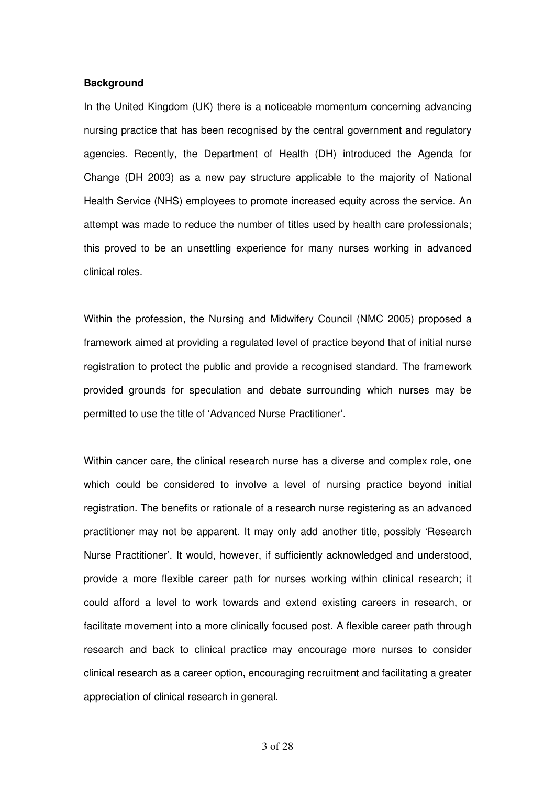#### **Background**

In the United Kingdom (UK) there is a noticeable momentum concerning advancing nursing practice that has been recognised by the central government and regulatory agencies. Recently, the Department of Health (DH) introduced the Agenda for Change (DH 2003) as a new pay structure applicable to the majority of National Health Service (NHS) employees to promote increased equity across the service. An attempt was made to reduce the number of titles used by health care professionals; this proved to be an unsettling experience for many nurses working in advanced clinical roles.

Within the profession, the Nursing and Midwifery Council (NMC 2005) proposed a framework aimed at providing a regulated level of practice beyond that of initial nurse registration to protect the public and provide a recognised standard. The framework provided grounds for speculation and debate surrounding which nurses may be permitted to use the title of 'Advanced Nurse Practitioner'.

Within cancer care, the clinical research nurse has a diverse and complex role, one which could be considered to involve a level of nursing practice beyond initial registration. The benefits or rationale of a research nurse registering as an advanced practitioner may not be apparent. It may only add another title, possibly 'Research Nurse Practitioner'. It would, however, if sufficiently acknowledged and understood, provide a more flexible career path for nurses working within clinical research; it could afford a level to work towards and extend existing careers in research, or facilitate movement into a more clinically focused post. A flexible career path through research and back to clinical practice may encourage more nurses to consider clinical research as a career option, encouraging recruitment and facilitating a greater appreciation of clinical research in general.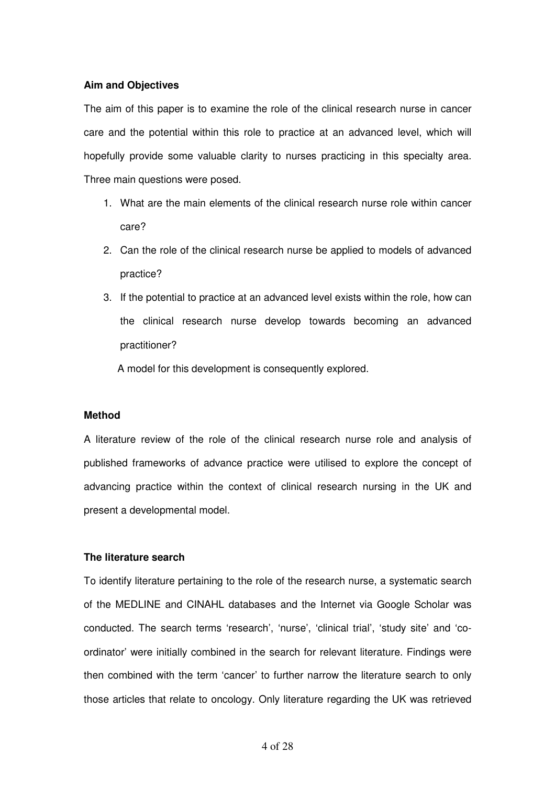#### **Aim and Objectives**

The aim of this paper is to examine the role of the clinical research nurse in cancer care and the potential within this role to practice at an advanced level, which will hopefully provide some valuable clarity to nurses practicing in this specialty area. Three main questions were posed.

- 1. What are the main elements of the clinical research nurse role within cancer care?
- 2. Can the role of the clinical research nurse be applied to models of advanced practice?
- 3. If the potential to practice at an advanced level exists within the role, how can the clinical research nurse develop towards becoming an advanced practitioner?

A model for this development is consequently explored.

#### **Method**

A literature review of the role of the clinical research nurse role and analysis of published frameworks of advance practice were utilised to explore the concept of advancing practice within the context of clinical research nursing in the UK and present a developmental model.

#### **The literature search**

To identify literature pertaining to the role of the research nurse, a systematic search of the MEDLINE and CINAHL databases and the Internet via Google Scholar was conducted. The search terms 'research', 'nurse', 'clinical trial', 'study site' and 'coordinator' were initially combined in the search for relevant literature. Findings were then combined with the term 'cancer' to further narrow the literature search to only those articles that relate to oncology. Only literature regarding the UK was retrieved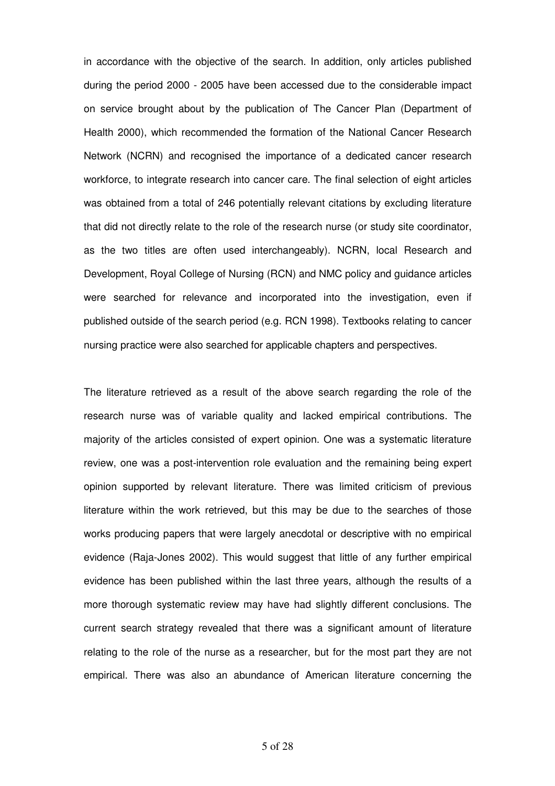in accordance with the objective of the search. In addition, only articles published during the period 2000 - 2005 have been accessed due to the considerable impact on service brought about by the publication of The Cancer Plan (Department of Health 2000), which recommended the formation of the National Cancer Research Network (NCRN) and recognised the importance of a dedicated cancer research workforce, to integrate research into cancer care. The final selection of eight articles was obtained from a total of 246 potentially relevant citations by excluding literature that did not directly relate to the role of the research nurse (or study site coordinator, as the two titles are often used interchangeably). NCRN, local Research and Development, Royal College of Nursing (RCN) and NMC policy and guidance articles were searched for relevance and incorporated into the investigation, even if published outside of the search period (e.g. RCN 1998). Textbooks relating to cancer nursing practice were also searched for applicable chapters and perspectives.

The literature retrieved as a result of the above search regarding the role of the research nurse was of variable quality and lacked empirical contributions. The majority of the articles consisted of expert opinion. One was a systematic literature review, one was a post-intervention role evaluation and the remaining being expert opinion supported by relevant literature. There was limited criticism of previous literature within the work retrieved, but this may be due to the searches of those works producing papers that were largely anecdotal or descriptive with no empirical evidence (Raja-Jones 2002). This would suggest that little of any further empirical evidence has been published within the last three years, although the results of a more thorough systematic review may have had slightly different conclusions. The current search strategy revealed that there was a significant amount of literature relating to the role of the nurse as a researcher, but for the most part they are not empirical. There was also an abundance of American literature concerning the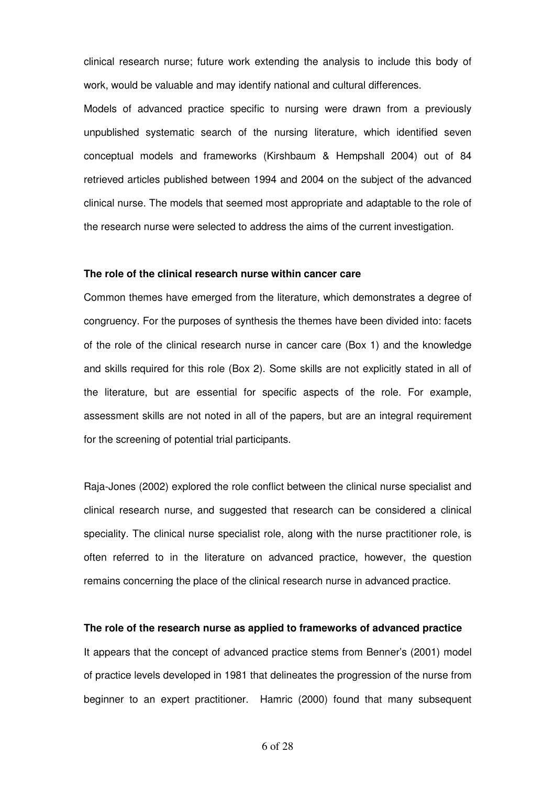clinical research nurse; future work extending the analysis to include this body of work, would be valuable and may identify national and cultural differences.

Models of advanced practice specific to nursing were drawn from a previously unpublished systematic search of the nursing literature, which identified seven conceptual models and frameworks (Kirshbaum & Hempshall 2004) out of 84 retrieved articles published between 1994 and 2004 on the subject of the advanced clinical nurse. The models that seemed most appropriate and adaptable to the role of the research nurse were selected to address the aims of the current investigation.

#### **The role of the clinical research nurse within cancer care**

Common themes have emerged from the literature, which demonstrates a degree of congruency. For the purposes of synthesis the themes have been divided into: facets of the role of the clinical research nurse in cancer care (Box 1) and the knowledge and skills required for this role (Box 2). Some skills are not explicitly stated in all of the literature, but are essential for specific aspects of the role. For example, assessment skills are not noted in all of the papers, but are an integral requirement for the screening of potential trial participants.

Raja-Jones (2002) explored the role conflict between the clinical nurse specialist and clinical research nurse, and suggested that research can be considered a clinical speciality. The clinical nurse specialist role, along with the nurse practitioner role, is often referred to in the literature on advanced practice, however, the question remains concerning the place of the clinical research nurse in advanced practice.

#### **The role of the research nurse as applied to frameworks of advanced practice**

It appears that the concept of advanced practice stems from Benner's (2001) model of practice levels developed in 1981 that delineates the progression of the nurse from beginner to an expert practitioner. Hamric (2000) found that many subsequent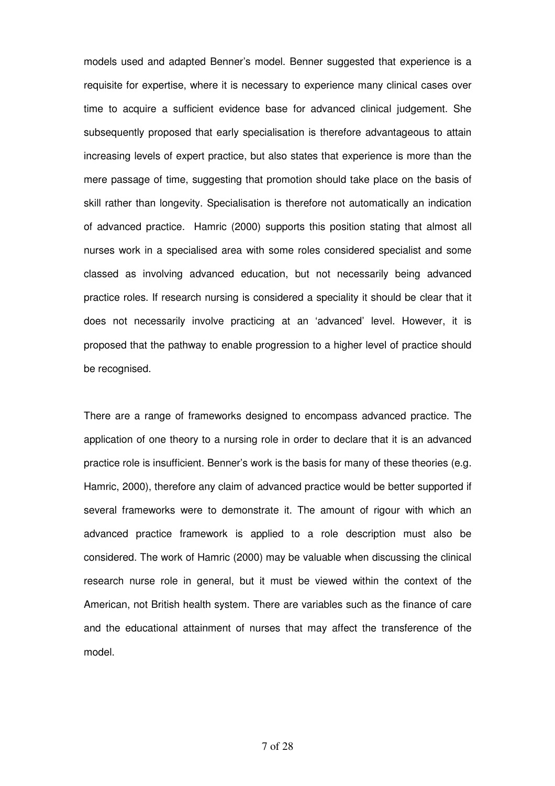models used and adapted Benner's model. Benner suggested that experience is a requisite for expertise, where it is necessary to experience many clinical cases over time to acquire a sufficient evidence base for advanced clinical judgement. She subsequently proposed that early specialisation is therefore advantageous to attain increasing levels of expert practice, but also states that experience is more than the mere passage of time, suggesting that promotion should take place on the basis of skill rather than longevity. Specialisation is therefore not automatically an indication of advanced practice. Hamric (2000) supports this position stating that almost all nurses work in a specialised area with some roles considered specialist and some classed as involving advanced education, but not necessarily being advanced practice roles. If research nursing is considered a speciality it should be clear that it does not necessarily involve practicing at an 'advanced' level. However, it is proposed that the pathway to enable progression to a higher level of practice should be recognised.

There are a range of frameworks designed to encompass advanced practice. The application of one theory to a nursing role in order to declare that it is an advanced practice role is insufficient. Benner's work is the basis for many of these theories (e.g. Hamric, 2000), therefore any claim of advanced practice would be better supported if several frameworks were to demonstrate it. The amount of rigour with which an advanced practice framework is applied to a role description must also be considered. The work of Hamric (2000) may be valuable when discussing the clinical research nurse role in general, but it must be viewed within the context of the American, not British health system. There are variables such as the finance of care and the educational attainment of nurses that may affect the transference of the model.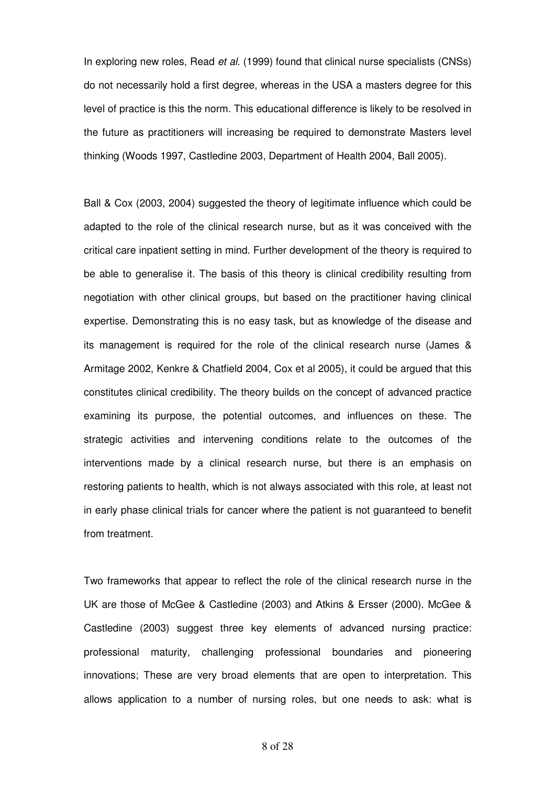In exploring new roles, Read et al. (1999) found that clinical nurse specialists (CNSs) do not necessarily hold a first degree, whereas in the USA a masters degree for this level of practice is this the norm. This educational difference is likely to be resolved in the future as practitioners will increasing be required to demonstrate Masters level thinking (Woods 1997, Castledine 2003, Department of Health 2004, Ball 2005).

Ball & Cox (2003, 2004) suggested the theory of legitimate influence which could be adapted to the role of the clinical research nurse, but as it was conceived with the critical care inpatient setting in mind. Further development of the theory is required to be able to generalise it. The basis of this theory is clinical credibility resulting from negotiation with other clinical groups, but based on the practitioner having clinical expertise. Demonstrating this is no easy task, but as knowledge of the disease and its management is required for the role of the clinical research nurse (James & Armitage 2002, Kenkre & Chatfield 2004, Cox et al 2005), it could be argued that this constitutes clinical credibility. The theory builds on the concept of advanced practice examining its purpose, the potential outcomes, and influences on these. The strategic activities and intervening conditions relate to the outcomes of the interventions made by a clinical research nurse, but there is an emphasis on restoring patients to health, which is not always associated with this role, at least not in early phase clinical trials for cancer where the patient is not guaranteed to benefit from treatment.

Two frameworks that appear to reflect the role of the clinical research nurse in the UK are those of McGee & Castledine (2003) and Atkins & Ersser (2000). McGee & Castledine (2003) suggest three key elements of advanced nursing practice: professional maturity, challenging professional boundaries and pioneering innovations; These are very broad elements that are open to interpretation. This allows application to a number of nursing roles, but one needs to ask: what is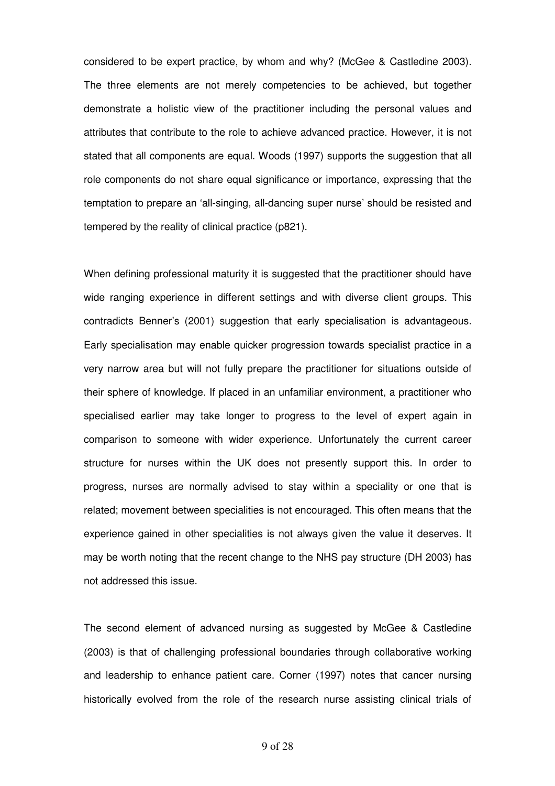considered to be expert practice, by whom and why? (McGee & Castledine 2003). The three elements are not merely competencies to be achieved, but together demonstrate a holistic view of the practitioner including the personal values and attributes that contribute to the role to achieve advanced practice. However, it is not stated that all components are equal. Woods (1997) supports the suggestion that all role components do not share equal significance or importance, expressing that the temptation to prepare an 'all-singing, all-dancing super nurse' should be resisted and tempered by the reality of clinical practice (p821).

When defining professional maturity it is suggested that the practitioner should have wide ranging experience in different settings and with diverse client groups. This contradicts Benner's (2001) suggestion that early specialisation is advantageous. Early specialisation may enable quicker progression towards specialist practice in a very narrow area but will not fully prepare the practitioner for situations outside of their sphere of knowledge. If placed in an unfamiliar environment, a practitioner who specialised earlier may take longer to progress to the level of expert again in comparison to someone with wider experience. Unfortunately the current career structure for nurses within the UK does not presently support this. In order to progress, nurses are normally advised to stay within a speciality or one that is related; movement between specialities is not encouraged. This often means that the experience gained in other specialities is not always given the value it deserves. It may be worth noting that the recent change to the NHS pay structure (DH 2003) has not addressed this issue.

The second element of advanced nursing as suggested by McGee & Castledine (2003) is that of challenging professional boundaries through collaborative working and leadership to enhance patient care. Corner (1997) notes that cancer nursing historically evolved from the role of the research nurse assisting clinical trials of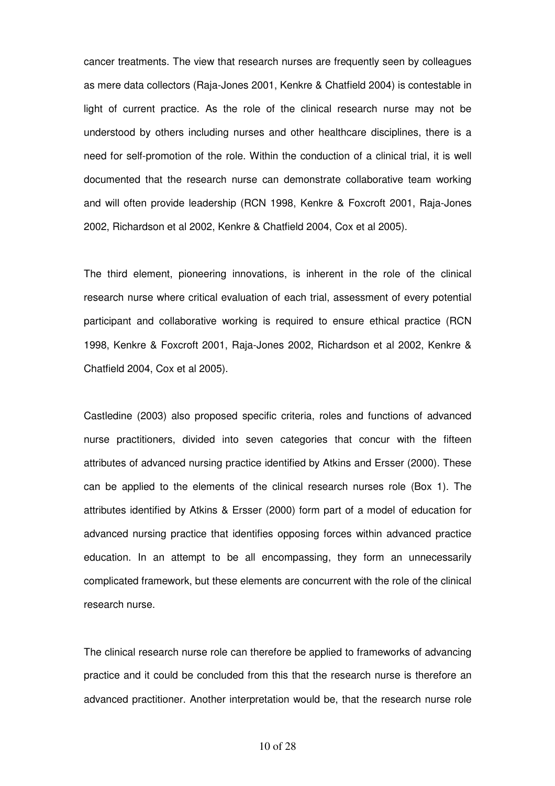cancer treatments. The view that research nurses are frequently seen by colleagues as mere data collectors (Raja-Jones 2001, Kenkre & Chatfield 2004) is contestable in light of current practice. As the role of the clinical research nurse may not be understood by others including nurses and other healthcare disciplines, there is a need for self-promotion of the role. Within the conduction of a clinical trial, it is well documented that the research nurse can demonstrate collaborative team working and will often provide leadership (RCN 1998, Kenkre & Foxcroft 2001, Raja-Jones 2002, Richardson et al 2002, Kenkre & Chatfield 2004, Cox et al 2005).

The third element, pioneering innovations, is inherent in the role of the clinical research nurse where critical evaluation of each trial, assessment of every potential participant and collaborative working is required to ensure ethical practice (RCN 1998, Kenkre & Foxcroft 2001, Raja-Jones 2002, Richardson et al 2002, Kenkre & Chatfield 2004, Cox et al 2005).

Castledine (2003) also proposed specific criteria, roles and functions of advanced nurse practitioners, divided into seven categories that concur with the fifteen attributes of advanced nursing practice identified by Atkins and Ersser (2000). These can be applied to the elements of the clinical research nurses role (Box 1). The attributes identified by Atkins & Ersser (2000) form part of a model of education for advanced nursing practice that identifies opposing forces within advanced practice education. In an attempt to be all encompassing, they form an unnecessarily complicated framework, but these elements are concurrent with the role of the clinical research nurse.

The clinical research nurse role can therefore be applied to frameworks of advancing practice and it could be concluded from this that the research nurse is therefore an advanced practitioner. Another interpretation would be, that the research nurse role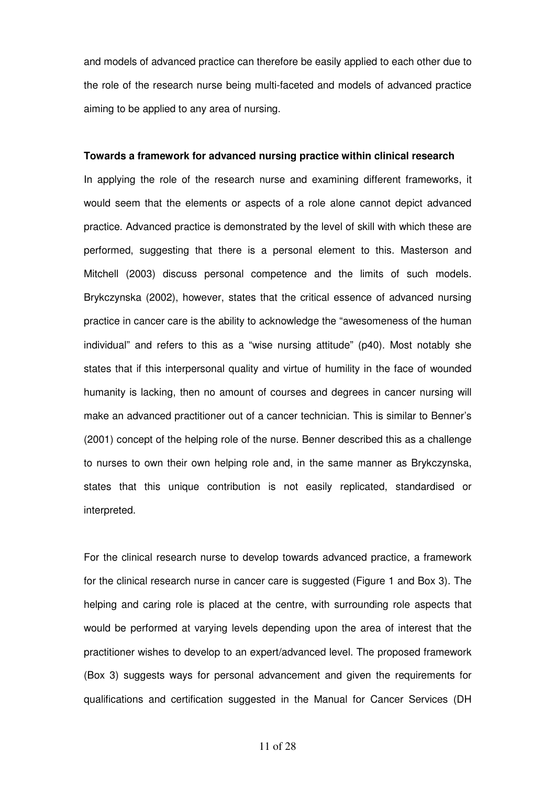and models of advanced practice can therefore be easily applied to each other due to the role of the research nurse being multi-faceted and models of advanced practice aiming to be applied to any area of nursing.

#### **Towards a framework for advanced nursing practice within clinical research**

In applying the role of the research nurse and examining different frameworks, it would seem that the elements or aspects of a role alone cannot depict advanced practice. Advanced practice is demonstrated by the level of skill with which these are performed, suggesting that there is a personal element to this. Masterson and Mitchell (2003) discuss personal competence and the limits of such models. Brykczynska (2002), however, states that the critical essence of advanced nursing practice in cancer care is the ability to acknowledge the "awesomeness of the human individual" and refers to this as a "wise nursing attitude" (p40). Most notably she states that if this interpersonal quality and virtue of humility in the face of wounded humanity is lacking, then no amount of courses and degrees in cancer nursing will make an advanced practitioner out of a cancer technician. This is similar to Benner's (2001) concept of the helping role of the nurse. Benner described this as a challenge to nurses to own their own helping role and, in the same manner as Brykczynska, states that this unique contribution is not easily replicated, standardised or interpreted.

For the clinical research nurse to develop towards advanced practice, a framework for the clinical research nurse in cancer care is suggested (Figure 1 and Box 3). The helping and caring role is placed at the centre, with surrounding role aspects that would be performed at varying levels depending upon the area of interest that the practitioner wishes to develop to an expert/advanced level. The proposed framework (Box 3) suggests ways for personal advancement and given the requirements for qualifications and certification suggested in the Manual for Cancer Services (DH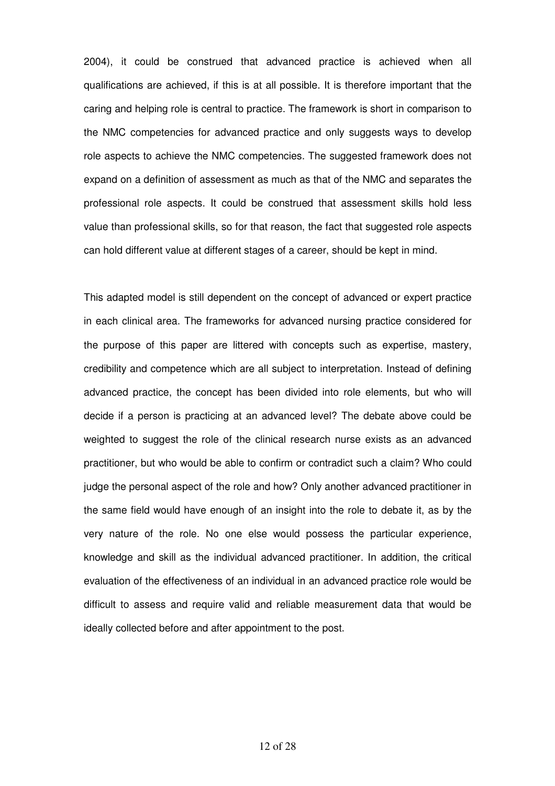2004), it could be construed that advanced practice is achieved when all qualifications are achieved, if this is at all possible. It is therefore important that the caring and helping role is central to practice. The framework is short in comparison to the NMC competencies for advanced practice and only suggests ways to develop role aspects to achieve the NMC competencies. The suggested framework does not expand on a definition of assessment as much as that of the NMC and separates the professional role aspects. It could be construed that assessment skills hold less value than professional skills, so for that reason, the fact that suggested role aspects can hold different value at different stages of a career, should be kept in mind.

This adapted model is still dependent on the concept of advanced or expert practice in each clinical area. The frameworks for advanced nursing practice considered for the purpose of this paper are littered with concepts such as expertise, mastery, credibility and competence which are all subject to interpretation. Instead of defining advanced practice, the concept has been divided into role elements, but who will decide if a person is practicing at an advanced level? The debate above could be weighted to suggest the role of the clinical research nurse exists as an advanced practitioner, but who would be able to confirm or contradict such a claim? Who could judge the personal aspect of the role and how? Only another advanced practitioner in the same field would have enough of an insight into the role to debate it, as by the very nature of the role. No one else would possess the particular experience, knowledge and skill as the individual advanced practitioner. In addition, the critical evaluation of the effectiveness of an individual in an advanced practice role would be difficult to assess and require valid and reliable measurement data that would be ideally collected before and after appointment to the post.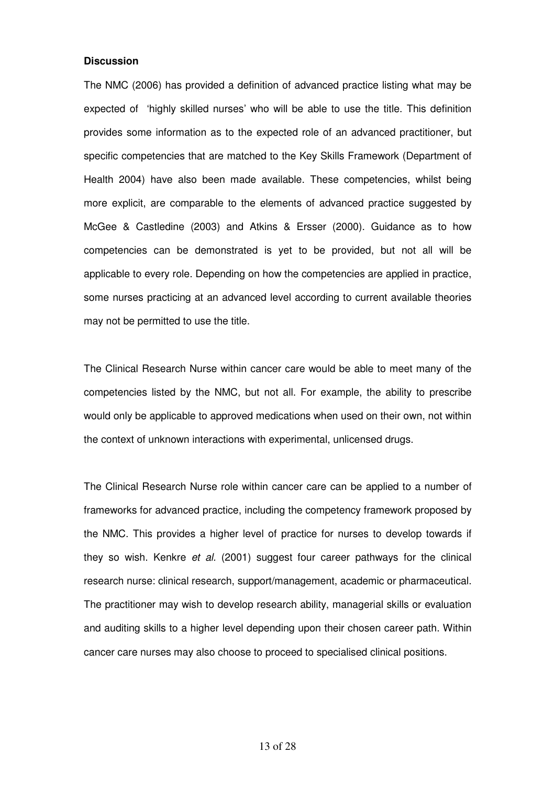#### **Discussion**

The NMC (2006) has provided a definition of advanced practice listing what may be expected of 'highly skilled nurses' who will be able to use the title. This definition provides some information as to the expected role of an advanced practitioner, but specific competencies that are matched to the Key Skills Framework (Department of Health 2004) have also been made available. These competencies, whilst being more explicit, are comparable to the elements of advanced practice suggested by McGee & Castledine (2003) and Atkins & Ersser (2000). Guidance as to how competencies can be demonstrated is yet to be provided, but not all will be applicable to every role. Depending on how the competencies are applied in practice, some nurses practicing at an advanced level according to current available theories may not be permitted to use the title.

The Clinical Research Nurse within cancer care would be able to meet many of the competencies listed by the NMC, but not all. For example, the ability to prescribe would only be applicable to approved medications when used on their own, not within the context of unknown interactions with experimental, unlicensed drugs.

The Clinical Research Nurse role within cancer care can be applied to a number of frameworks for advanced practice, including the competency framework proposed by the NMC. This provides a higher level of practice for nurses to develop towards if they so wish. Kenkre *et al.* (2001) suggest four career pathways for the clinical research nurse: clinical research, support/management, academic or pharmaceutical. The practitioner may wish to develop research ability, managerial skills or evaluation and auditing skills to a higher level depending upon their chosen career path. Within cancer care nurses may also choose to proceed to specialised clinical positions.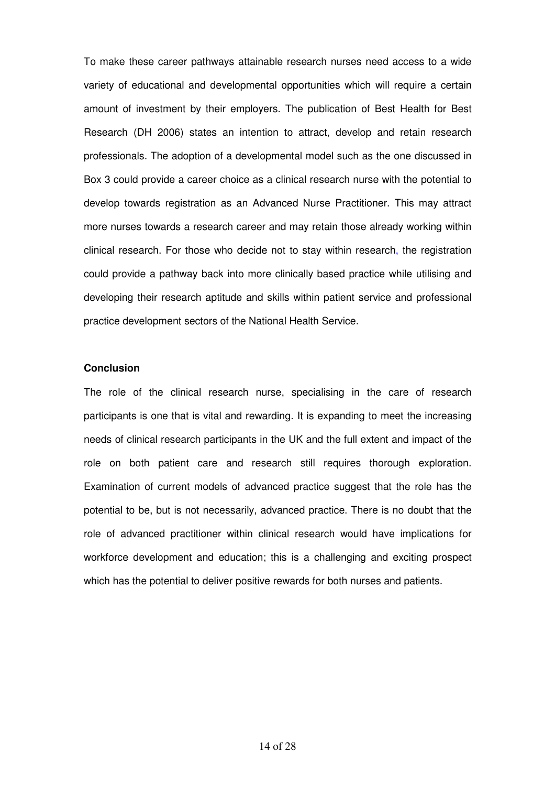To make these career pathways attainable research nurses need access to a wide variety of educational and developmental opportunities which will require a certain amount of investment by their employers. The publication of Best Health for Best Research (DH 2006) states an intention to attract, develop and retain research professionals. The adoption of a developmental model such as the one discussed in Box 3 could provide a career choice as a clinical research nurse with the potential to develop towards registration as an Advanced Nurse Practitioner. This may attract more nurses towards a research career and may retain those already working within clinical research. For those who decide not to stay within research, the registration could provide a pathway back into more clinically based practice while utilising and developing their research aptitude and skills within patient service and professional practice development sectors of the National Health Service.

#### **Conclusion**

The role of the clinical research nurse, specialising in the care of research participants is one that is vital and rewarding. It is expanding to meet the increasing needs of clinical research participants in the UK and the full extent and impact of the role on both patient care and research still requires thorough exploration. Examination of current models of advanced practice suggest that the role has the potential to be, but is not necessarily, advanced practice. There is no doubt that the role of advanced practitioner within clinical research would have implications for workforce development and education; this is a challenging and exciting prospect which has the potential to deliver positive rewards for both nurses and patients.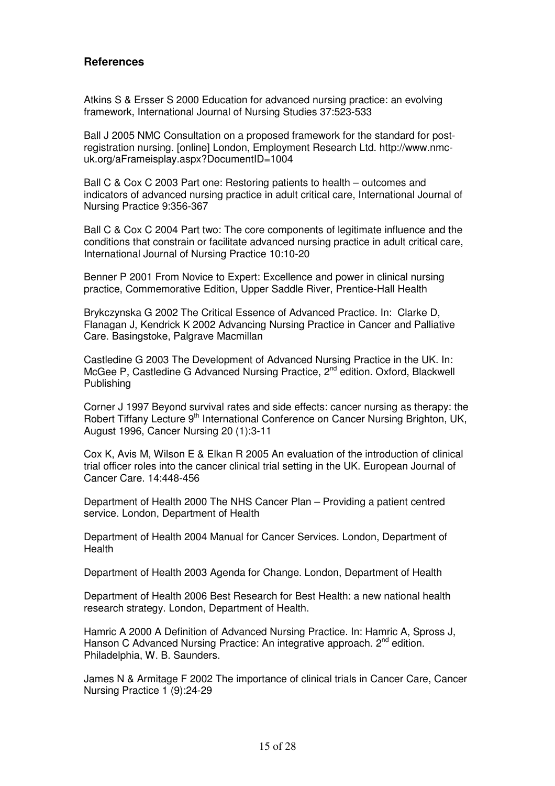## **References**

Atkins S & Ersser S 2000 Education for advanced nursing practice: an evolving framework, International Journal of Nursing Studies 37:523-533

Ball J 2005 NMC Consultation on a proposed framework for the standard for postregistration nursing. [online] London, Employment Research Ltd. http://www.nmcuk.org/aFrameisplay.aspx?DocumentID=1004

Ball C & Cox C 2003 Part one: Restoring patients to health – outcomes and indicators of advanced nursing practice in adult critical care, International Journal of Nursing Practice 9:356-367

Ball C & Cox C 2004 Part two: The core components of legitimate influence and the conditions that constrain or facilitate advanced nursing practice in adult critical care, International Journal of Nursing Practice 10:10-20

Benner P 2001 From Novice to Expert: Excellence and power in clinical nursing practice, Commemorative Edition, Upper Saddle River, Prentice-Hall Health

Brykczynska G 2002 The Critical Essence of Advanced Practice. In: Clarke D, Flanagan J, Kendrick K 2002 Advancing Nursing Practice in Cancer and Palliative Care. Basingstoke, Palgrave Macmillan

Castledine G 2003 The Development of Advanced Nursing Practice in the UK. In: McGee P, Castledine G Advanced Nursing Practice, 2<sup>nd</sup> edition, Oxford, Blackwell Publishing

Corner J 1997 Beyond survival rates and side effects: cancer nursing as therapy: the Robert Tiffany Lecture 9<sup>th</sup> International Conference on Cancer Nursing Brighton, UK, August 1996, Cancer Nursing 20 (1):3-11

Cox K, Avis M, Wilson E & Elkan R 2005 An evaluation of the introduction of clinical trial officer roles into the cancer clinical trial setting in the UK. European Journal of Cancer Care. 14:448-456

Department of Health 2000 The NHS Cancer Plan – Providing a patient centred service. London, Department of Health

Department of Health 2004 Manual for Cancer Services. London, Department of Health

Department of Health 2003 Agenda for Change. London, Department of Health

Department of Health 2006 Best Research for Best Health: a new national health research strategy. London, Department of Health.

Hamric A 2000 A Definition of Advanced Nursing Practice. In: Hamric A, Spross J, Hanson C Advanced Nursing Practice: An integrative approach. 2<sup>nd</sup> edition. Philadelphia, W. B. Saunders.

James N & Armitage F 2002 The importance of clinical trials in Cancer Care, Cancer Nursing Practice 1 (9):24-29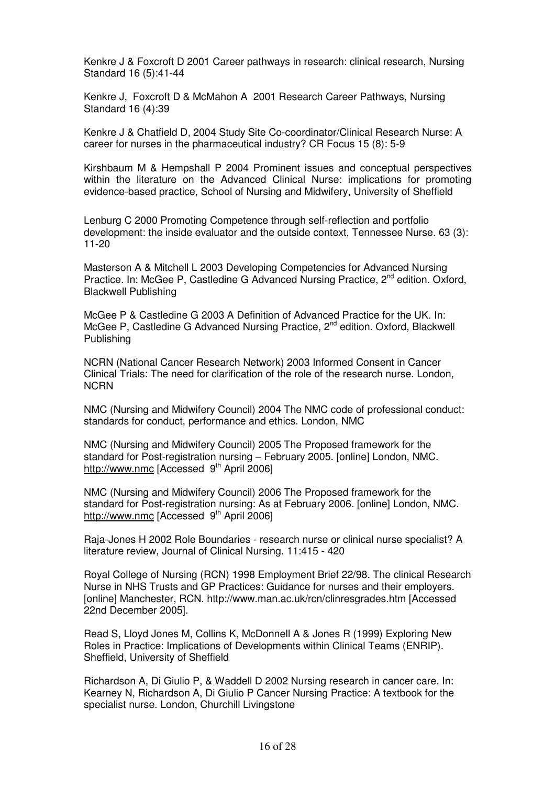Kenkre J & Foxcroft D 2001 Career pathways in research: clinical research, Nursing Standard 16 (5):41-44

Kenkre J, Foxcroft D & McMahon A 2001 Research Career Pathways, Nursing Standard 16 (4):39

Kenkre J & Chatfield D, 2004 Study Site Co-coordinator/Clinical Research Nurse: A career for nurses in the pharmaceutical industry? CR Focus 15 (8): 5-9

Kirshbaum M & Hempshall P 2004 Prominent issues and conceptual perspectives within the literature on the Advanced Clinical Nurse: implications for promoting evidence-based practice, School of Nursing and Midwifery, University of Sheffield

Lenburg C 2000 Promoting Competence through self-reflection and portfolio development: the inside evaluator and the outside context, Tennessee Nurse. 63 (3): 11-20

Masterson A & Mitchell L 2003 Developing Competencies for Advanced Nursing Practice. In: McGee P, Castledine G Advanced Nursing Practice, 2<sup>nd</sup> edition. Oxford, Blackwell Publishing

McGee P & Castledine G 2003 A Definition of Advanced Practice for the UK. In: McGee P, Castledine G Advanced Nursing Practice, 2<sup>nd</sup> edition. Oxford, Blackwell Publishing

NCRN (National Cancer Research Network) 2003 Informed Consent in Cancer Clinical Trials: The need for clarification of the role of the research nurse. London, **NCRN** 

NMC (Nursing and Midwifery Council) 2004 The NMC code of professional conduct: standards for conduct, performance and ethics. London, NMC

NMC (Nursing and Midwifery Council) 2005 The Proposed framework for the standard for Post-registration nursing – February 2005. [online] London, NMC. http://www.nmc [Accessed 9<sup>th</sup> April 2006]

NMC (Nursing and Midwifery Council) 2006 The Proposed framework for the standard for Post-registration nursing: As at February 2006. [online] London, NMC. http://www.nmc [Accessed 9<sup>th</sup> April 2006]

Raja-Jones H 2002 Role Boundaries - research nurse or clinical nurse specialist? A literature review, Journal of Clinical Nursing. 11:415 - 420

Royal College of Nursing (RCN) 1998 Employment Brief 22/98. The clinical Research Nurse in NHS Trusts and GP Practices: Guidance for nurses and their employers. [online] Manchester, RCN. http://www.man.ac.uk/rcn/clinresgrades.htm [Accessed 22nd December 2005].

Read S, Lloyd Jones M, Collins K, McDonnell A & Jones R (1999) Exploring New Roles in Practice: Implications of Developments within Clinical Teams (ENRIP). Sheffield, University of Sheffield

Richardson A, Di Giulio P, & Waddell D 2002 Nursing research in cancer care. In: Kearney N, Richardson A, Di Giulio P Cancer Nursing Practice: A textbook for the specialist nurse. London, Churchill Livingstone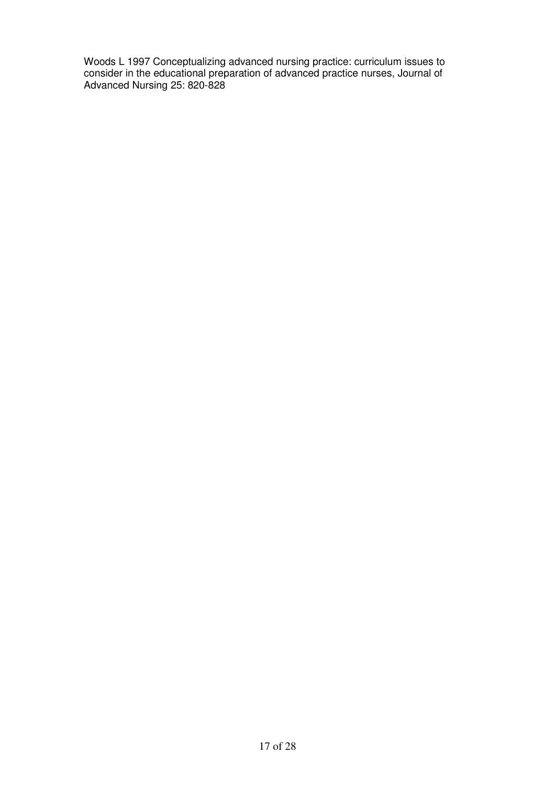Woods L 1997 Conceptualizing advanced nursing practice: curriculum issues to consider in the educational preparation of advanced practice nurses, Journal of Advanced Nursing 25: 820-828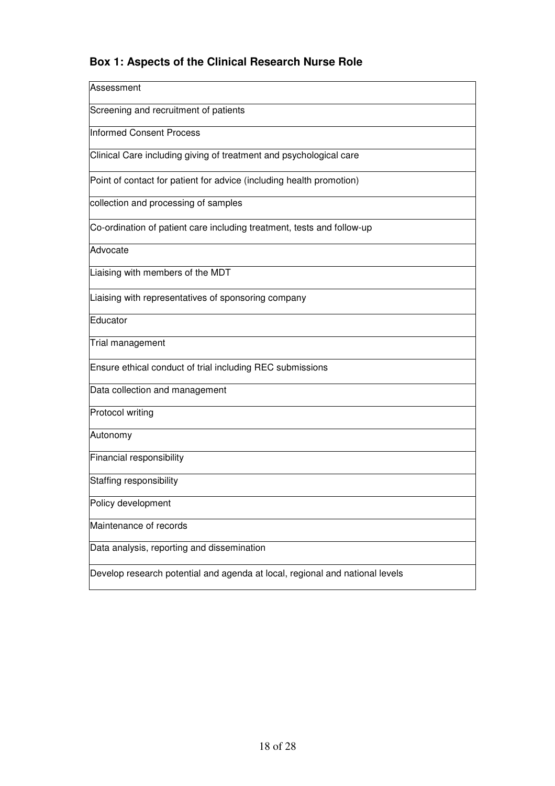# **Box 1: Aspects of the Clinical Research Nurse Role**

| Assessment                                                                   |
|------------------------------------------------------------------------------|
| Screening and recruitment of patients                                        |
| <b>Informed Consent Process</b>                                              |
| Clinical Care including giving of treatment and psychological care           |
| Point of contact for patient for advice (including health promotion)         |
| collection and processing of samples                                         |
| Co-ordination of patient care including treatment, tests and follow-up       |
| Advocate                                                                     |
| Liaising with members of the MDT                                             |
| Liaising with representatives of sponsoring company                          |
| Educator                                                                     |
| Trial management                                                             |
| Ensure ethical conduct of trial including REC submissions                    |
| Data collection and management                                               |
| Protocol writing                                                             |
| Autonomy                                                                     |
| Financial responsibility                                                     |
| Staffing responsibility                                                      |
| Policy development                                                           |
| Maintenance of records                                                       |
| Data analysis, reporting and dissemination                                   |
| Develop research potential and agenda at local, regional and national levels |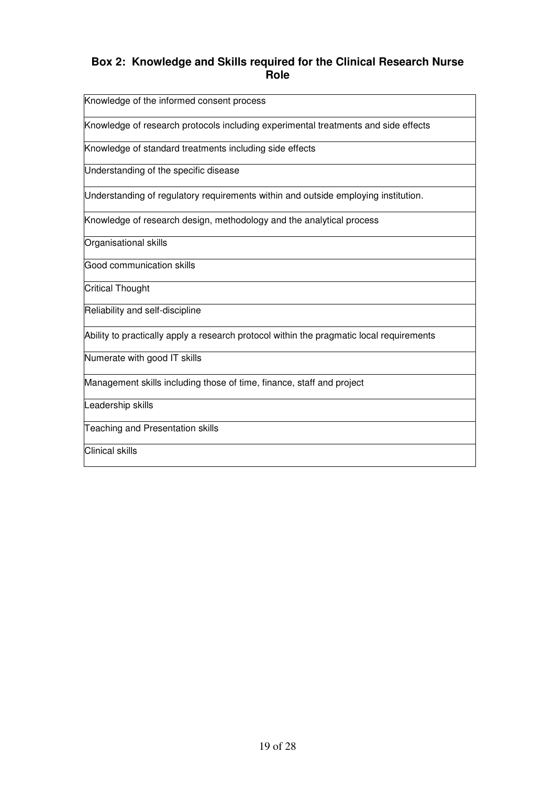## **Box 2: Knowledge and Skills required for the Clinical Research Nurse Role**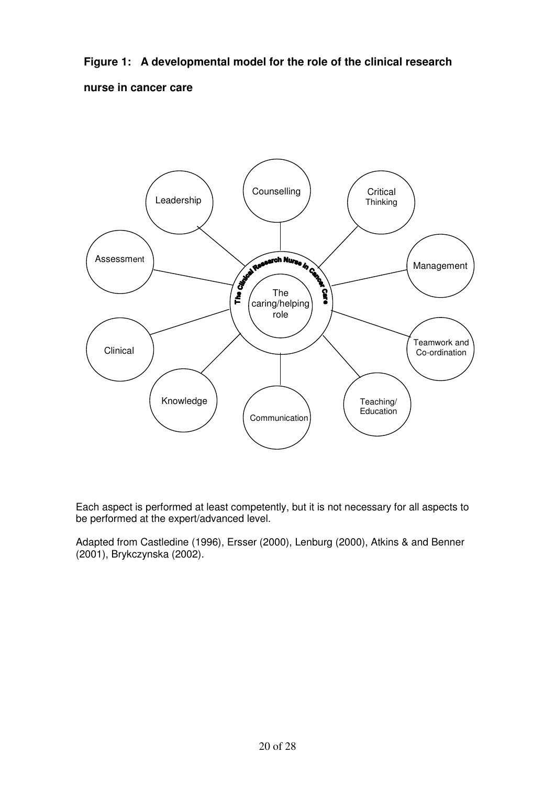**Figure 1: A developmental model for the role of the clinical research** 

**nurse in cancer care** 



Each aspect is performed at least competently, but it is not necessary for all aspects to be performed at the expert/advanced level.

Adapted from Castledine (1996), Ersser (2000), Lenburg (2000), Atkins & and Benner (2001), Brykczynska (2002).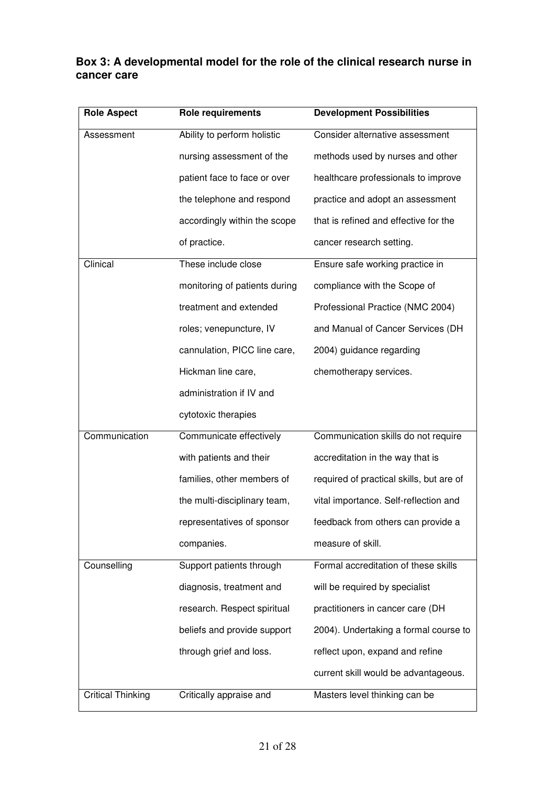# **Box 3: A developmental model for the role of the clinical research nurse in cancer care**

| <b>Role Aspect</b>       | <b>Role requirements</b>      | <b>Development Possibilities</b>         |
|--------------------------|-------------------------------|------------------------------------------|
| Assessment               | Ability to perform holistic   | Consider alternative assessment          |
|                          | nursing assessment of the     | methods used by nurses and other         |
|                          | patient face to face or over  | healthcare professionals to improve      |
|                          | the telephone and respond     | practice and adopt an assessment         |
|                          | accordingly within the scope  | that is refined and effective for the    |
|                          | of practice.                  | cancer research setting.                 |
| Clinical                 | These include close           | Ensure safe working practice in          |
|                          | monitoring of patients during | compliance with the Scope of             |
|                          | treatment and extended        | Professional Practice (NMC 2004)         |
|                          | roles; venepuncture, IV       | and Manual of Cancer Services (DH        |
|                          | cannulation, PICC line care,  | 2004) guidance regarding                 |
|                          | Hickman line care,            | chemotherapy services.                   |
|                          | administration if IV and      |                                          |
|                          | cytotoxic therapies           |                                          |
| Communication            | Communicate effectively       | Communication skills do not require      |
|                          | with patients and their       | accreditation in the way that is         |
|                          | families, other members of    | required of practical skills, but are of |
|                          | the multi-disciplinary team,  | vital importance. Self-reflection and    |
|                          | representatives of sponsor    | feedback from others can provide a       |
|                          | companies.                    | measure of skill.                        |
| Counselling              | Support patients through      | Formal accreditation of these skills     |
|                          | diagnosis, treatment and      | will be required by specialist           |
|                          | research. Respect spiritual   | practitioners in cancer care (DH         |
|                          | beliefs and provide support   | 2004). Undertaking a formal course to    |
|                          | through grief and loss.       | reflect upon, expand and refine          |
|                          |                               | current skill would be advantageous.     |
| <b>Critical Thinking</b> | Critically appraise and       | Masters level thinking can be            |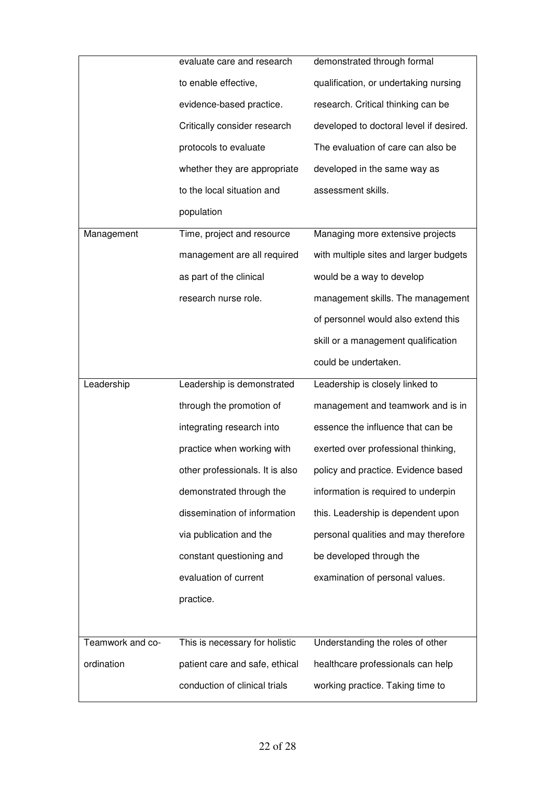|                  | evaluate care and research      | demonstrated through formal             |  |
|------------------|---------------------------------|-----------------------------------------|--|
|                  | to enable effective,            | qualification, or undertaking nursing   |  |
|                  | evidence-based practice.        | research. Critical thinking can be      |  |
|                  | Critically consider research    | developed to doctoral level if desired. |  |
|                  | protocols to evaluate           | The evaluation of care can also be      |  |
|                  | whether they are appropriate    | developed in the same way as            |  |
|                  | to the local situation and      | assessment skills.                      |  |
|                  | population                      |                                         |  |
| Management       | Time, project and resource      | Managing more extensive projects        |  |
|                  | management are all required     | with multiple sites and larger budgets  |  |
|                  | as part of the clinical         | would be a way to develop               |  |
|                  | research nurse role.            | management skills. The management       |  |
|                  |                                 | of personnel would also extend this     |  |
|                  |                                 | skill or a management qualification     |  |
|                  |                                 | could be undertaken.                    |  |
|                  |                                 |                                         |  |
| Leadership       | Leadership is demonstrated      | Leadership is closely linked to         |  |
|                  | through the promotion of        | management and teamwork and is in       |  |
|                  | integrating research into       | essence the influence that can be       |  |
|                  | practice when working with      | exerted over professional thinking,     |  |
|                  | other professionals. It is also | policy and practice. Evidence based     |  |
|                  | demonstrated through the        | information is required to underpin     |  |
|                  | dissemination of information    | this. Leadership is dependent upon      |  |
|                  | via publication and the         | personal qualities and may therefore    |  |
|                  | constant questioning and        | be developed through the                |  |
|                  | evaluation of current           | examination of personal values.         |  |
|                  | practice.                       |                                         |  |
|                  |                                 |                                         |  |
| Teamwork and co- | This is necessary for holistic  | Understanding the roles of other        |  |
| ordination       | patient care and safe, ethical  | healthcare professionals can help       |  |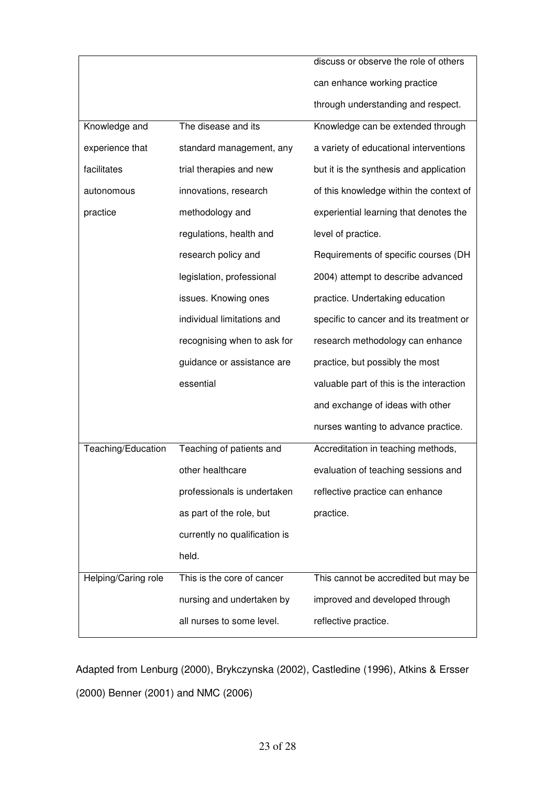|                     |                               | discuss or observe the role of others    |  |
|---------------------|-------------------------------|------------------------------------------|--|
|                     |                               | can enhance working practice             |  |
|                     |                               | through understanding and respect.       |  |
| Knowledge and       | The disease and its           | Knowledge can be extended through        |  |
| experience that     | standard management, any      | a variety of educational interventions   |  |
| facilitates         | trial therapies and new       | but it is the synthesis and application  |  |
| autonomous          | innovations, research         | of this knowledge within the context of  |  |
| practice            | methodology and               | experiential learning that denotes the   |  |
|                     | regulations, health and       | level of practice.                       |  |
|                     | research policy and           | Requirements of specific courses (DH     |  |
|                     | legislation, professional     | 2004) attempt to describe advanced       |  |
|                     | issues. Knowing ones          | practice. Undertaking education          |  |
|                     | individual limitations and    | specific to cancer and its treatment or  |  |
|                     | recognising when to ask for   | research methodology can enhance         |  |
|                     | guidance or assistance are    | practice, but possibly the most          |  |
|                     | essential                     | valuable part of this is the interaction |  |
|                     |                               | and exchange of ideas with other         |  |
|                     |                               | nurses wanting to advance practice.      |  |
| Teaching/Education  | Teaching of patients and      | Accreditation in teaching methods,       |  |
|                     | other healthcare              | evaluation of teaching sessions and      |  |
|                     | professionals is undertaken   | reflective practice can enhance          |  |
|                     | as part of the role, but      | practice.                                |  |
|                     | currently no qualification is |                                          |  |
|                     | held.                         |                                          |  |
| Helping/Caring role | This is the core of cancer    | This cannot be accredited but may be     |  |
|                     | nursing and undertaken by     | improved and developed through           |  |
|                     | all nurses to some level.     | reflective practice.                     |  |
|                     |                               |                                          |  |

Adapted from Lenburg (2000), Brykczynska (2002), Castledine (1996), Atkins & Ersser (2000) Benner (2001) and NMC (2006)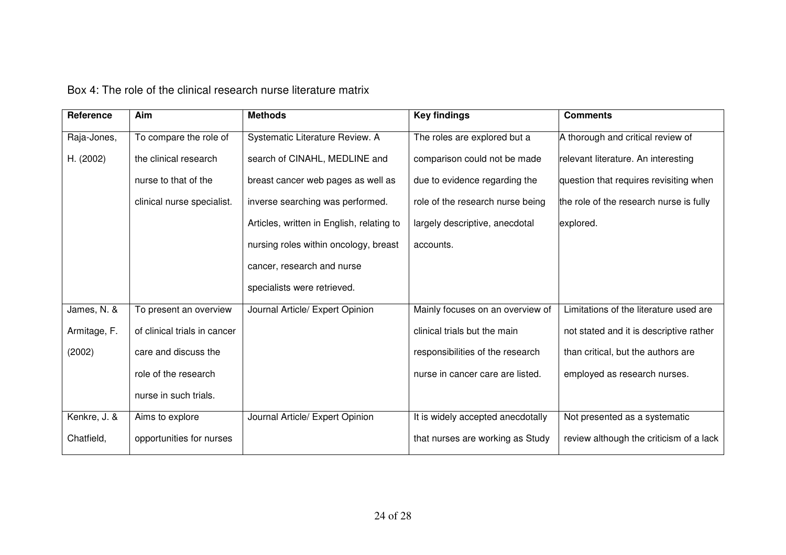| Reference    | Aim                          | <b>Methods</b>                            | <b>Key findings</b>               | <b>Comments</b>                         |
|--------------|------------------------------|-------------------------------------------|-----------------------------------|-----------------------------------------|
| Raja-Jones,  | To compare the role of       | Systematic Literature Review. A           | The roles are explored but a      | A thorough and critical review of       |
| H. (2002)    | the clinical research        | search of CINAHL, MEDLINE and             | comparison could not be made      | relevant literature. An interesting     |
|              | nurse to that of the         | breast cancer web pages as well as        | due to evidence regarding the     | question that requires revisiting when  |
|              | clinical nurse specialist.   | inverse searching was performed.          | role of the research nurse being  | the role of the research nurse is fully |
|              |                              | Articles, written in English, relating to | largely descriptive, anecdotal    | explored.                               |
|              |                              | nursing roles within oncology, breast     | accounts.                         |                                         |
|              |                              | cancer, research and nurse                |                                   |                                         |
|              |                              | specialists were retrieved.               |                                   |                                         |
| James, N. &  | To present an overview       | Journal Article/ Expert Opinion           | Mainly focuses on an overview of  | Limitations of the literature used are  |
| Armitage, F. | of clinical trials in cancer |                                           | clinical trials but the main      | not stated and it is descriptive rather |
| (2002)       | care and discuss the         |                                           | responsibilities of the research  | than critical, but the authors are      |
|              | role of the research         |                                           | nurse in cancer care are listed.  | employed as research nurses.            |
|              | nurse in such trials.        |                                           |                                   |                                         |
| Kenkre, J. & | Aims to explore              | Journal Article/ Expert Opinion           | It is widely accepted anecdotally | Not presented as a systematic           |
| Chatfield,   | opportunities for nurses     |                                           | that nurses are working as Study  | review although the criticism of a lack |

Box 4: The role of the clinical research nurse literature matrix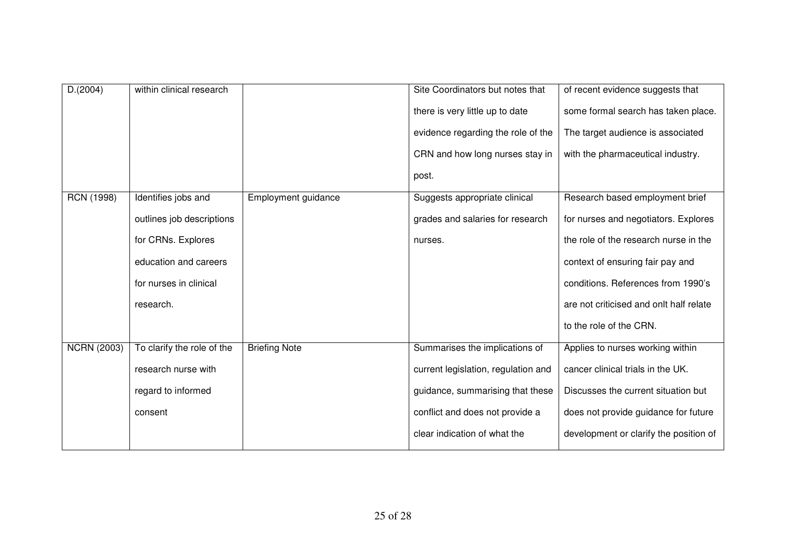| D.(2004)           | within clinical research   |                      | Site Coordinators but notes that    | of recent evidence suggests that        |
|--------------------|----------------------------|----------------------|-------------------------------------|-----------------------------------------|
|                    |                            |                      | there is very little up to date     | some formal search has taken place.     |
|                    |                            |                      | evidence regarding the role of the  | The target audience is associated       |
|                    |                            |                      | CRN and how long nurses stay in     | with the pharmaceutical industry.       |
|                    |                            |                      | post.                               |                                         |
| <b>RCN (1998)</b>  | Identifies jobs and        | Employment guidance  | Suggests appropriate clinical       | Research based employment brief         |
|                    | outlines job descriptions  |                      | grades and salaries for research    | for nurses and negotiators. Explores    |
|                    | for CRNs. Explores         |                      | nurses.                             | the role of the research nurse in the   |
|                    | education and careers      |                      |                                     | context of ensuring fair pay and        |
|                    | for nurses in clinical     |                      |                                     | conditions. References from 1990's      |
|                    | research.                  |                      |                                     | are not criticised and onlt half relate |
|                    |                            |                      |                                     | to the role of the CRN.                 |
| <b>NCRN (2003)</b> | To clarify the role of the | <b>Briefing Note</b> | Summarises the implications of      | Applies to nurses working within        |
|                    | research nurse with        |                      | current legislation, regulation and | cancer clinical trials in the UK.       |
|                    | regard to informed         |                      | guidance, summarising that these    | Discusses the current situation but     |
|                    | consent                    |                      | conflict and does not provide a     | does not provide guidance for future    |
|                    |                            |                      | clear indication of what the        | development or clarify the position of  |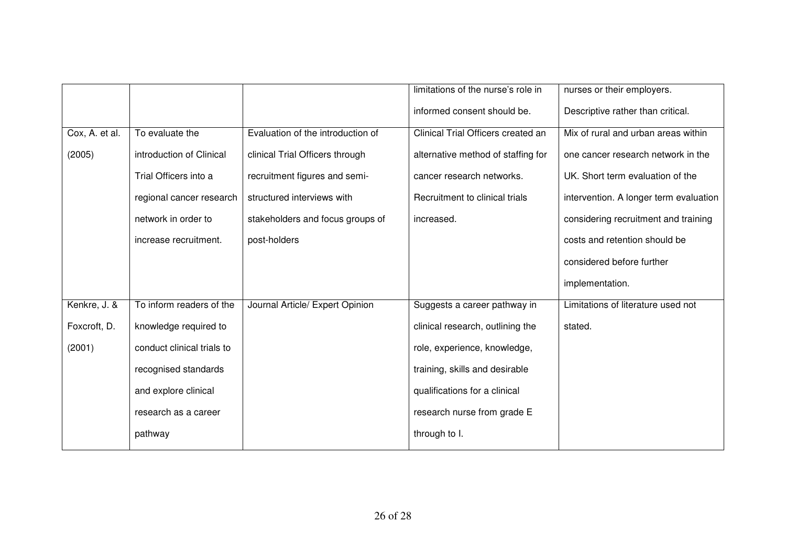|                |                            |                                   | limitations of the nurse's role in | nurses or their employers.             |
|----------------|----------------------------|-----------------------------------|------------------------------------|----------------------------------------|
|                |                            |                                   | informed consent should be.        | Descriptive rather than critical.      |
| Cox, A. et al. | To evaluate the            | Evaluation of the introduction of | Clinical Trial Officers created an | Mix of rural and urban areas within    |
| (2005)         | introduction of Clinical   | clinical Trial Officers through   | alternative method of staffing for | one cancer research network in the     |
|                | Trial Officers into a      | recruitment figures and semi-     | cancer research networks.          | UK. Short term evaluation of the       |
|                | regional cancer research   | structured interviews with        | Recruitment to clinical trials     | intervention. A longer term evaluation |
|                | network in order to        | stakeholders and focus groups of  | increased.                         | considering recruitment and training   |
|                | increase recruitment.      | post-holders                      |                                    | costs and retention should be          |
|                |                            |                                   |                                    | considered before further              |
|                |                            |                                   |                                    | implementation.                        |
| Kenkre, J. &   | To inform readers of the   | Journal Article/ Expert Opinion   | Suggests a career pathway in       | Limitations of literature used not     |
| Foxcroft, D.   | knowledge required to      |                                   | clinical research, outlining the   | stated.                                |
| (2001)         | conduct clinical trials to |                                   | role, experience, knowledge,       |                                        |
|                | recognised standards       |                                   | training, skills and desirable     |                                        |
|                | and explore clinical       |                                   | qualifications for a clinical      |                                        |
|                | research as a career       |                                   | research nurse from grade E        |                                        |
|                | pathway                    |                                   | through to I.                      |                                        |
|                |                            |                                   |                                    |                                        |